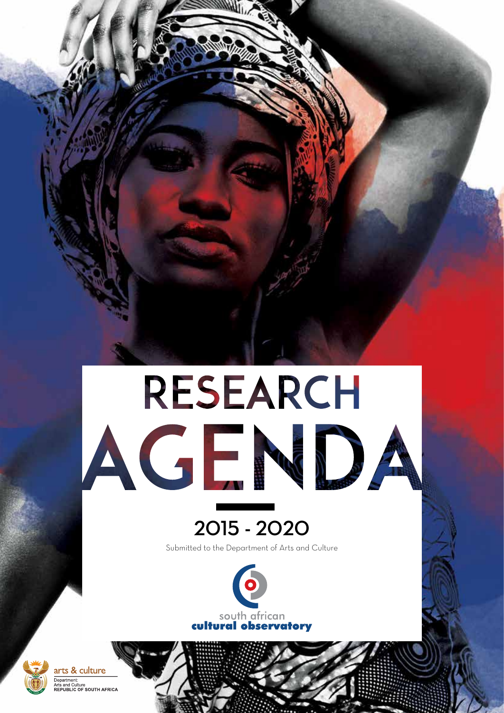# RESEARCH AGENT



Submitted to the Department of Arts and Culture





arts & culture Department:<br>Arts and Culture<br>REPUBLIC OF SOUTH AFRICA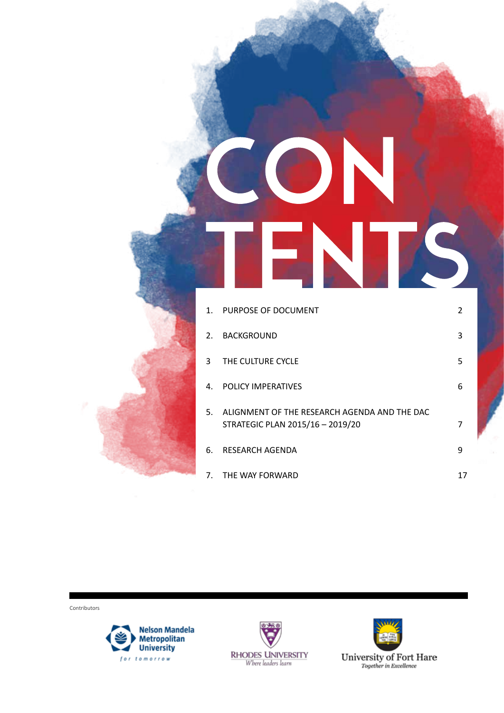# EN S

| $1_{-}$     | PURPOSE OF DOCUMENT                                                              | 2 |
|-------------|----------------------------------------------------------------------------------|---|
| 2.          | <b>BACKGROUND</b>                                                                | 3 |
| 3           | THE CULTURE CYCLE                                                                | 5 |
| 4.          | <b>POLICY IMPERATIVES</b>                                                        | 6 |
| 5.          | ALIGNMENT OF THE RESEARCH AGENDA AND THE DAC<br>STRATEGIC PLAN 2015/16 - 2019/20 | 7 |
| 6.          | RESEARCH AGENDA                                                                  | 9 |
| $7_{\cdot}$ | THE WAY FORWARD                                                                  |   |

Contributors







University of Fort Hare<br>  $Together$  in Excellence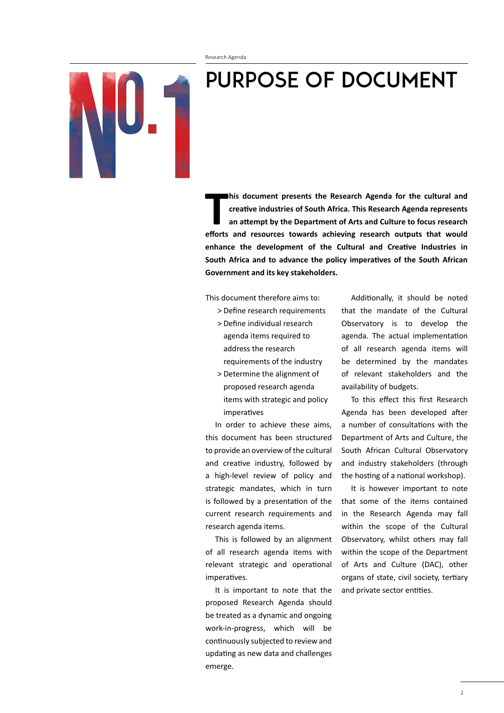### PURPOSE OF DOCUMENT

**This document presents the Research Agenda for the cultural and creative industries of South Africa. This Research Agenda represents an attempt by the Department of Arts and Culture to focus research efforts and resources his document presents the Research Agenda for the cultural and creative industries of South Africa. This Research Agenda represents an attempt by the Department of Arts and Culture to focus research enhance the development of the Cultural and Creative Industries in South Africa and to advance the policy imperatives of the South African Government and its key stakeholders.**

This document therefore aims to:

- > Define research requirements
- > Define individual research agenda items required to address the research requirements of the industry
- > Determine the alignment of proposed research agenda items with strategic and policy imperatives

In order to achieve these aims, this document has been structured to provide an overview of the cultural and creative industry, followed by a high-level review of policy and strategic mandates, which in turn is followed by a presentation of the current research requirements and research agenda items.

This is followed by an alignment of all research agenda items with relevant strategic and operational imperatives.

It is important to note that the proposed Research Agenda should be treated as a dynamic and ongoing work-in-progress, which will be continuously subjected to review and updating as new data and challenges emerge.

Additionally, it should be noted that the mandate of the Cultural Observatory is to develop the agenda. The actual implementation of all research agenda items will be determined by the mandates of relevant stakeholders and the availability of budgets.

To this effect this first Research Agenda has been developed after a number of consultations with the Department of Arts and Culture, the South African Cultural Observatory and industry stakeholders (through the hosting of a national workshop).

It is however important to note that some of the items contained in the Research Agenda may fall within the scope of the Cultural Observatory, whilst others may fall within the scope of the Department of Arts and Culture (DAC), other organs of state, civil society, tertiary and private sector entities.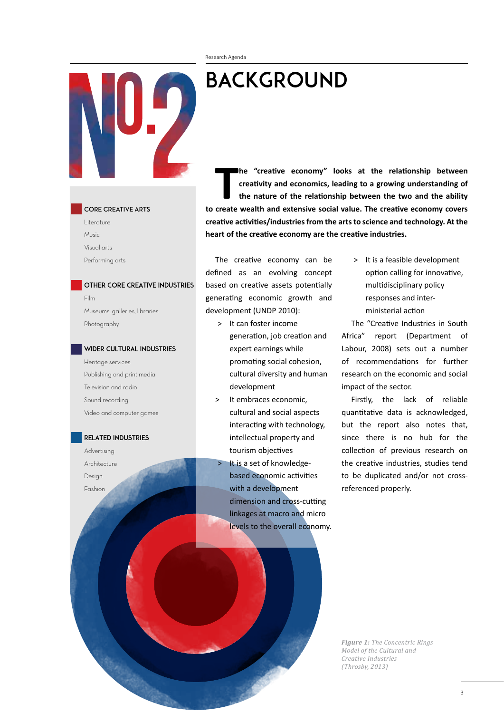### BACKGROUND

#### CORE CREATIVE ARTS

Literature Music Visual arts Performing arts

#### OTHER CORE CREATIVE INDUSTRIES

Film Museums, galleries, libraries Photography

#### WIDER CULTURAL INDUSTRIES

Heritage services Publishing and print media Television and radio Sound recording Video and computer games

#### RELATED INDUSTRIES

Advertising Architecture Design Fashion

**The "creative economy" looks at the relationship between**<br>creativity and economics, leading to a growing understanding of<br>the nature of the relationship between the two and the ability<br>to create wealth and extensive socia **he "creative economy" looks at the relationship between creativity and economics, leading to a growing understanding of the nature of the relationship between the two and the ability creative activities/industries from the arts to science and technology. At the heart of the creative economy are the creative industries.**

The creative economy can be defined as an evolving concept based on creative assets potentially generating economic growth and development (UNDP 2010):

- > It can foster income generation, job creation and expert earnings while promoting social cohesion, cultural diversity and human development
- > It embraces economic, cultural and social aspects interacting with technology, intellectual property and tourism objectives
- $>$  It is a set of knowledge- based economic activities with a development dimension and cross-cutting linkages at macro and micro levels to the overall economy.

 > It is a feasible development option calling for innovative, multidisciplinary policy responses and inter- ministerial action

The "Creative Industries in South Africa" report (Department of Labour, 2008) sets out a number of recommendations for further research on the economic and social impact of the sector.

Firstly, the lack of reliable quantitative data is acknowledged, but the report also notes that, since there is no hub for the collection of previous research on the creative industries, studies tend to be duplicated and/or not crossreferenced properly.

*Figure 1: The Concentric Rings Model of the Cultural and Creative Industries (Throsby, 2013)*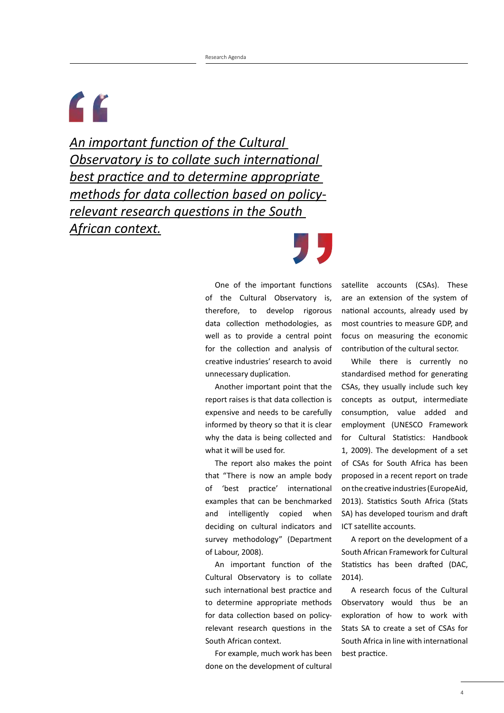# $\sqrt{2}$

*An important function of the Cultural Observatory is to collate such international best practice and to determine appropriate methods for data collection based on policyrelevant research questions in the South African context.*

One of the important functions of the Cultural Observatory is, therefore, to develop rigorous data collection methodologies, as well as to provide a central point for the collection and analysis of creative industries' research to avoid unnecessary duplication.

Another important point that the report raises is that data collection is expensive and needs to be carefully informed by theory so that it is clear why the data is being collected and what it will be used for.

The report also makes the point that "There is now an ample body of 'best practice' international examples that can be benchmarked and intelligently copied when deciding on cultural indicators and survey methodology" (Department of Labour, 2008).

An important function of the Cultural Observatory is to collate such international best practice and to determine appropriate methods for data collection based on policyrelevant research questions in the South African context.

For example, much work has been done on the development of cultural

satellite accounts (CSAs). These are an extension of the system of national accounts, already used by most countries to measure GDP, and focus on measuring the economic contribution of the cultural sector.

While there is currently no standardised method for generating CSAs, they usually include such key concepts as output, intermediate consumption, value added and employment (UNESCO Framework for Cultural Statistics: Handbook 1, 2009). The development of a set of CSAs for South Africa has been proposed in a recent report on trade on the creative industries(EuropeAid, 2013). Statistics South Africa (Stats SA) has developed tourism and draft ICT satellite accounts.

A report on the development of a South African Framework for Cultural Statistics has been drafted (DAC, 2014).

A research focus of the Cultural Observatory would thus be an exploration of how to work with Stats SA to create a set of CSAs for South Africa in line with international best practice.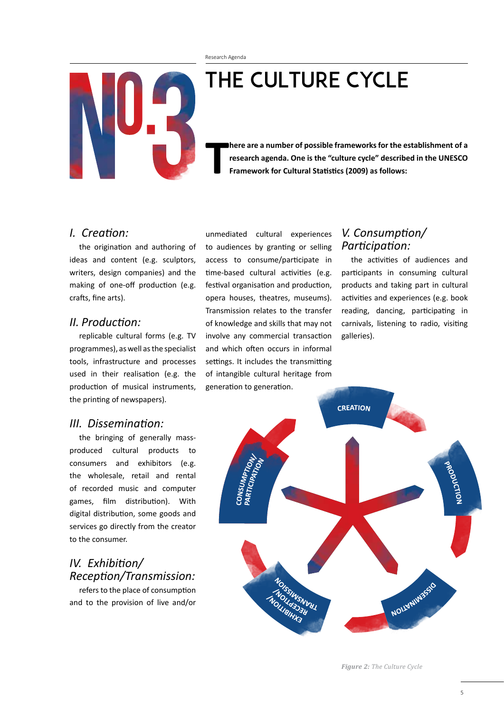## THE CULTURE CYCLE

**T here are a number of possible frameworks for the establishment of a research agenda. One is the "culture cycle" described in the UNESCO Framework for Cultural Statistics (2009) as follows:**

#### *I. Creation:*

the origination and authoring of ideas and content (e.g. sculptors, writers, design companies) and the making of one-off production (e.g. crafts, fine arts).

#### *II. Production:*

replicable cultural forms (e.g. TV programmes), as well asthe specialist tools, infrastructure and processes used in their realisation (e.g. the production of musical instruments, the printing of newspapers).

#### *III. Dissemination:*

the bringing of generally massproduced cultural products to consumers and exhibitors (e.g. the wholesale, retail and rental of recorded music and computer games, film distribution). With digital distribution, some goods and services go directly from the creator to the consumer.

### *IV. Exhibition/ Reception/Transmission:*

refers to the place of consumption and to the provision of live and/or unmediated cultural experiences to audiences by granting or selling access to consume/participate in time-based cultural activities (e.g. festival organisation and production, opera houses, theatres, museums). Transmission relates to the transfer of knowledge and skills that may not involve any commercial transaction and which often occurs in informal settings. It includes the transmitting of intangible cultural heritage from generation to generation.

### *V. Consumption/ Participation:*

the activities of audiences and participants in consuming cultural products and taking part in cultural activities and experiences (e.g. book reading, dancing, participating in carnivals, listening to radio, visiting galleries).

**CREATION** CONSUMPTION **CONSUMPTION**<br>PARTICIPATION **PRODUCTION** NOILWAIIN3550 ISSIWSNVHL NOLLASON<br>VOLLASON<br>VLIBIHXS

*Figure 2: The Culture Cycle*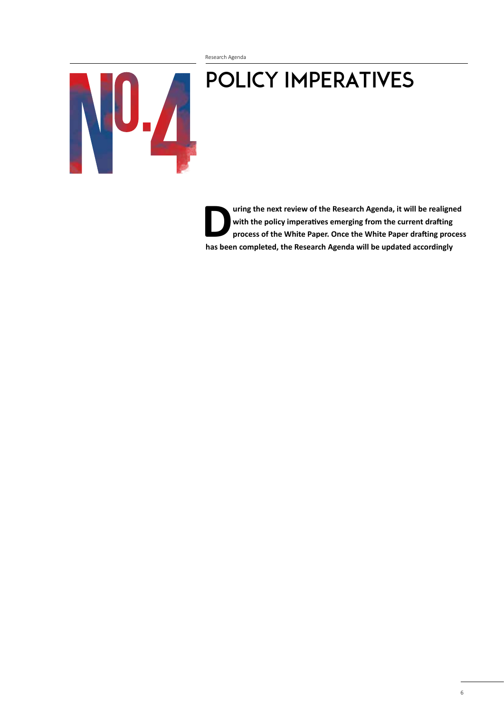# POLICY IMPERATIVES



uring the next review of the Research Agenda, it will be realigned<br>with the policy imperatives emerging from the current drafting<br>process of the White Paper. Once the White Paper drafting proces<br>has been completed, the Res **with the policy imperatives emerging from the current drafting process of the White Paper. Once the White Paper drafting process has been completed, the Research Agenda will be updated accordingly**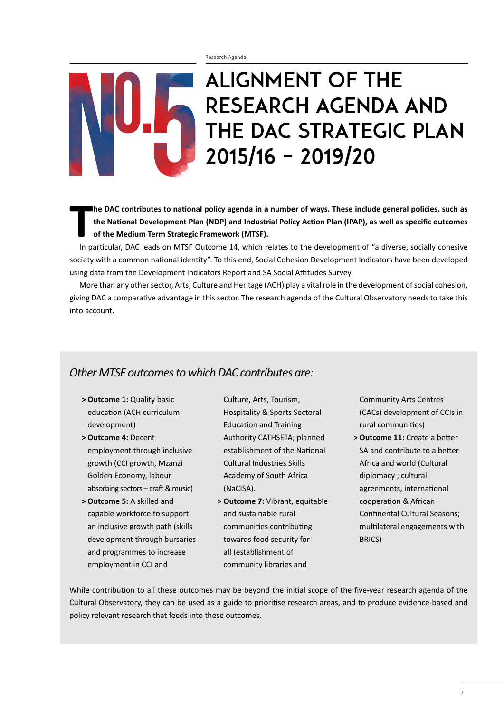# ALIGNMENT OF THE RESEARCH AGENDA AND THE DAC STRATEGIC PLAN 2015/16 – 2019/20

**T he DAC contributes to national policy agenda in a number of ways. These include general policies, such as the National Development Plan (NDP) and Industrial Policy Action Plan (IPAP), as well as specific outcomes of the Medium Term Strategic Framework (MTSF).** 

In particular, DAC leads on MTSF Outcome 14, which relates to the development of "a diverse, socially cohesive society with a common national identity". To this end, Social Cohesion Development Indicators have been developed using data from the Development Indicators Report and SA Social Attitudes Survey.

More than any other sector, Arts, Culture and Heritage (ACH) play a vital role in the development of social cohesion, giving DAC a comparative advantage in this sector. The research agenda of the Cultural Observatory needs to take this into account.

### *Other MTSF outcomes to which DAC contributes are:*

- **> Outcome 1:** Quality basic education (ACH curriculum development)
- **> Outcome 4:** Decent employment through inclusive growth (CCI growth, Mzanzi Golden Economy, labour absorbing sectors  $-$  craft & music)
- **> Outcome 5:** A skilled and capable workforce to support an inclusive growth path (skills development through bursaries and programmes to increase employment in CCI and

 Culture, Arts, Tourism, Hospitality & Sports Sectoral Education and Training Authority CATHSETA; planned establishment of the National Cultural Industries Skills Academy of South Africa (NaCISA).

**> Outcome 7:** Vibrant, equitable and sustainable rural communities contributing towards food security for all (establishment of community libraries and

 Community Arts Centres (CACs) development of CCIs in rural communities)

**> Outcome 11:** Create a better SA and contribute to a better Africa and world (Cultural diplomacy ; cultural agreements, international cooperation & African Continental Cultural Seasons; multilateral engagements with BRICS)

While contribution to all these outcomes may be beyond the initial scope of the five-year research agenda of the Cultural Observatory, they can be used as a guide to prioritise research areas, and to produce evidence-based and policy relevant research that feeds into these outcomes.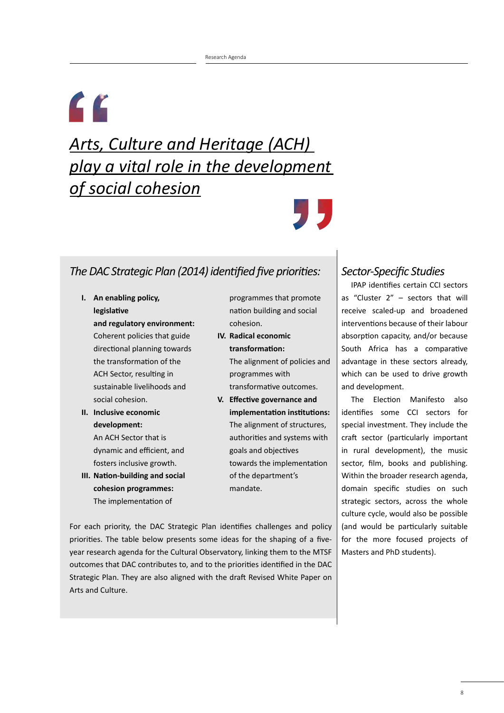# $\epsilon$ *Arts, Culture and Heritage (ACH) play a vital role in the development*

*of social cohesion*

### *The DAC Strategic Plan (2014) identified five priorities:* Sector-Specific Studies

**I. An enabling policy, legislative and regulatory environment:**

 Coherent policies that guide directional planning towards the transformation of the ACH Sector, resulting in sustainable livelihoods and social cohesion.

- **II. Inclusive economic development:**  An ACH Sector that is dynamic and efficient, and fosters inclusive growth.
- **III. Nation-building and social cohesion programmes:** The implementation of

 programmes that promote nation building and social cohesion.

- **IV. Radical economic transformation:** The alignment of policies and programmes with transformative outcomes.
- **V. Effective governance and implementation institutions:** The alignment of structures, authorities and systems with goals and objectives towards the implementation of the department's mandate.

For each priority, the DAC Strategic Plan identifies challenges and policy priorities. The table below presents some ideas for the shaping of a fiveyear research agenda for the Cultural Observatory, linking them to the MTSF outcomes that DAC contributes to, and to the priorities identified in the DAC Strategic Plan. They are also aligned with the draft Revised White Paper on Arts and Culture.

IPAP identifies certain CCI sectors as "Cluster 2" – sectors that will receive scaled-up and broadened interventions because of their labour absorption capacity, and/or because South Africa has a comparative advantage in these sectors already, which can be used to drive growth and development.

The Election Manifesto also identifies some CCI sectors for special investment. They include the craft sector (particularly important in rural development), the music sector, film, books and publishing. Within the broader research agenda, domain specific studies on such strategic sectors, across the whole culture cycle, would also be possible (and would be particularly suitable for the more focused projects of Masters and PhD students).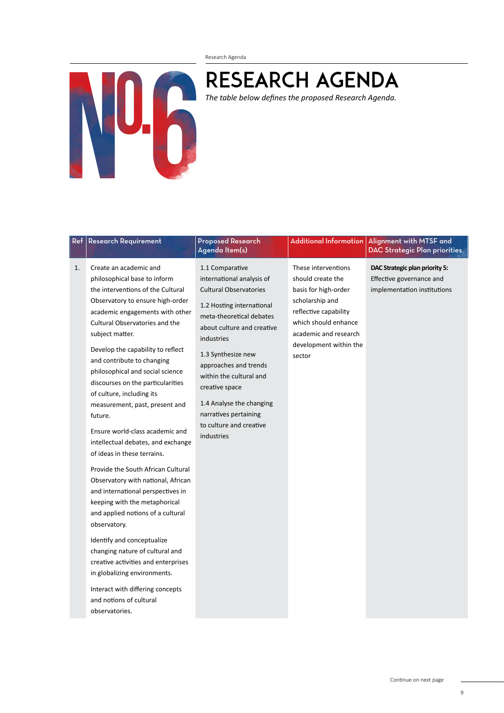

### RESEARCH AGENDA

*The table below defines the proposed Research Agenda.*

| Create an academic and<br>1.1 Comparative<br>These interventions<br>DAC Strategic plan priority 5:<br>1.<br>international analysis of<br>should create the<br>Effective governance and<br>philosophical base to inform<br><b>Cultural Observatories</b><br>the interventions of the Cultural<br>basis for high-order<br>implementation institutions<br>Observatory to ensure high-order<br>scholarship and                                                                                                                                                                                                                                                                                                                                                                                                                                                                                                                                                                                                                                                                                                                                                                                                                                                      |  |
|-----------------------------------------------------------------------------------------------------------------------------------------------------------------------------------------------------------------------------------------------------------------------------------------------------------------------------------------------------------------------------------------------------------------------------------------------------------------------------------------------------------------------------------------------------------------------------------------------------------------------------------------------------------------------------------------------------------------------------------------------------------------------------------------------------------------------------------------------------------------------------------------------------------------------------------------------------------------------------------------------------------------------------------------------------------------------------------------------------------------------------------------------------------------------------------------------------------------------------------------------------------------|--|
| 1.2 Hosting international<br>reflective capability<br>academic engagements with other<br>meta-theoretical debates<br>Cultural Observatories and the<br>which should enhance<br>about culture and creative<br>academic and research<br>subject matter.<br>industries<br>development within the<br>Develop the capability to reflect<br>1.3 Synthesize new<br>sector<br>and contribute to changing<br>approaches and trends<br>philosophical and social science<br>within the cultural and<br>discourses on the particularities<br>creative space<br>of culture, including its<br>1.4 Analyse the changing<br>measurement, past, present and<br>narratives pertaining<br>future.<br>to culture and creative<br>Ensure world-class academic and<br>industries<br>intellectual debates, and exchange<br>of ideas in these terrains.<br>Provide the South African Cultural<br>Observatory with national, African<br>and international perspectives in<br>keeping with the metaphorical<br>and applied notions of a cultural<br>observatory.<br>Identify and conceptualize<br>changing nature of cultural and<br>creative activities and enterprises<br>in globalizing environments.<br>Interact with differing concepts<br>and notions of cultural<br>observatories. |  |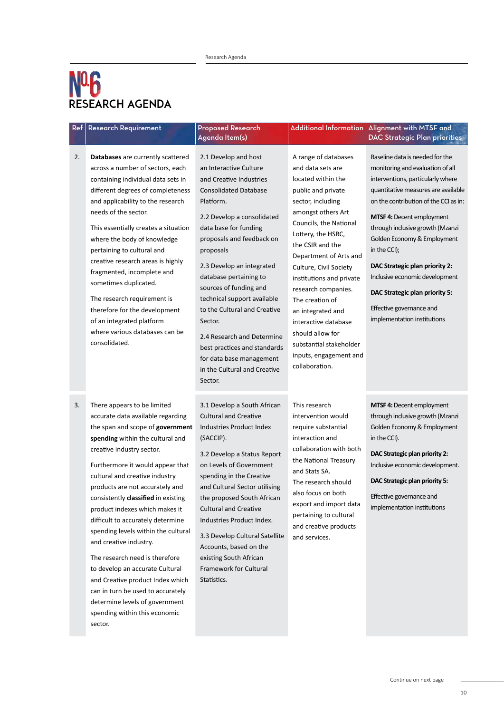sector.

|    | Ref   Research Requirement                                                                                                                                                                                                                                                                                                                                                                                                                                                                                                                                                                                                                                                     | <b>Proposed Research</b><br>Agenda Item(s)                                                                                                                                                                                                                                                                                                                                                                                                                                                                              | <b>Additional Information</b>                                                                                                                                                                                                                                                                                                                                                                                                                                          | Alignment with MTSF and<br><b>DAC Strategic Plan priorities</b>                                                                                                                                                                                                                                                                                                                                                                                                           |
|----|--------------------------------------------------------------------------------------------------------------------------------------------------------------------------------------------------------------------------------------------------------------------------------------------------------------------------------------------------------------------------------------------------------------------------------------------------------------------------------------------------------------------------------------------------------------------------------------------------------------------------------------------------------------------------------|-------------------------------------------------------------------------------------------------------------------------------------------------------------------------------------------------------------------------------------------------------------------------------------------------------------------------------------------------------------------------------------------------------------------------------------------------------------------------------------------------------------------------|------------------------------------------------------------------------------------------------------------------------------------------------------------------------------------------------------------------------------------------------------------------------------------------------------------------------------------------------------------------------------------------------------------------------------------------------------------------------|---------------------------------------------------------------------------------------------------------------------------------------------------------------------------------------------------------------------------------------------------------------------------------------------------------------------------------------------------------------------------------------------------------------------------------------------------------------------------|
| 2. | Databases are currently scattered<br>across a number of sectors, each<br>containing individual data sets in<br>different degrees of completeness<br>and applicability to the research<br>needs of the sector.<br>This essentially creates a situation<br>where the body of knowledge<br>pertaining to cultural and<br>creative research areas is highly<br>fragmented, incomplete and<br>sometimes duplicated.<br>The research requirement is<br>therefore for the development<br>of an integrated platform<br>where various databases can be<br>consolidated.                                                                                                                 | 2.1 Develop and host<br>an Interactive Culture<br>and Creative Industries<br><b>Consolidated Database</b><br>Platform.<br>2.2 Develop a consolidated<br>data base for funding<br>proposals and feedback on<br>proposals<br>2.3 Develop an integrated<br>database pertaining to<br>sources of funding and<br>technical support available<br>to the Cultural and Creative<br>Sector.<br>2.4 Research and Determine<br>best practices and standards<br>for data base management<br>in the Cultural and Creative<br>Sector. | A range of databases<br>and data sets are<br>located within the<br>public and private<br>sector, including<br>amongst others Art<br>Councils, the National<br>Lottery, the HSRC,<br>the CSIR and the<br>Department of Arts and<br>Culture, Civil Society<br>institutions and private<br>research companies.<br>The creation of<br>an integrated and<br>interactive database<br>should allow for<br>substantial stakeholder<br>inputs, engagement and<br>collaboration. | Baseline data is needed for the<br>monitoring and evaluation of all<br>interventions, particularly where<br>quantitative measures are available<br>on the contribution of the CCI as in:<br>MTSF 4: Decent employment<br>through inclusive growth (Mzanzi<br>Golden Economy & Employment<br>in the CCI);<br>DAC Strategic plan priority 2:<br>Inclusive economic development<br>DAC Strategic plan priority 5:<br>Effective governance and<br>implementation institutions |
| 3. | There appears to be limited<br>accurate data available regarding<br>the span and scope of government<br>spending within the cultural and<br>creative industry sector.<br>Furthermore it would appear that<br>cultural and creative industry<br>products are not accurately and<br>consistently classified in existing<br>product indexes which makes it<br>difficult to accurately determine<br>spending levels within the cultural<br>and creative industry.<br>The research need is therefore<br>to develop an accurate Cultural<br>and Creative product Index which<br>can in turn be used to accurately<br>determine levels of government<br>spending within this economic | 3.1 Develop a South African<br><b>Cultural and Creative</b><br>Industries Product Index<br>(SACCIP).<br>3.2 Develop a Status Report<br>on Levels of Government<br>spending in the Creative<br>and Cultural Sector utilising<br>the proposed South African<br><b>Cultural and Creative</b><br>Industries Product Index.<br>3.3 Develop Cultural Satellite<br>Accounts, based on the<br>existing South African<br><b>Framework for Cultural</b><br>Statistics.                                                            | This research<br>intervention would<br>require substantial<br>interaction and<br>collaboration with both<br>the National Treasury<br>and Stats SA.<br>The research should<br>also focus on both<br>export and import data<br>pertaining to cultural<br>and creative products<br>and services.                                                                                                                                                                          | <b>MTSF 4: Decent employment</b><br>through inclusive growth (Mzanzi<br>Golden Economy & Employment<br>in the CCI).<br>DAC Strategic plan priority 2:<br>Inclusive economic development.<br>DAC Strategic plan priority 5:<br>Effective governance and<br>implementation institutions                                                                                                                                                                                     |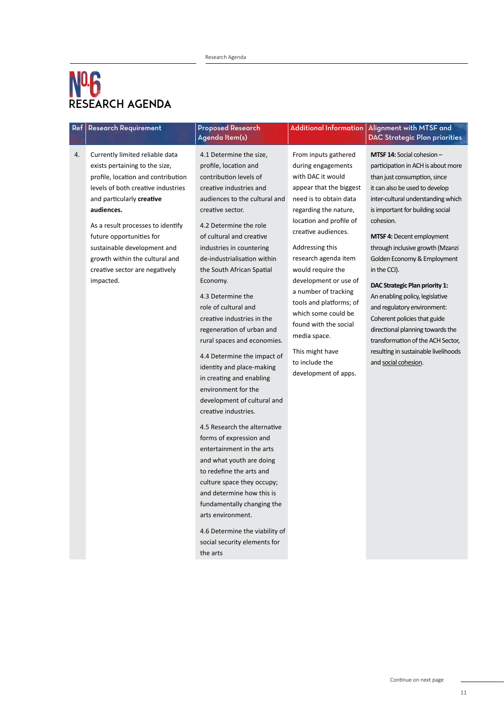| Ref | <b>Research Requirement</b>                                                                                                                                                                                                                                                                                                                                               | <b>Proposed Research</b><br>Agenda Item(s)                                                                                                                                                                                                                                                                                                                                                                                                                                                                                                                                                                                                                                                                                                                                                                                                                                                                                                                                    | <b>Additional Information</b>                                                                                                                                                                                                                                                                                                                                                                                                                                            | Alignment with MTSF and<br><b>DAC Strategic Plan priorities</b>                                                                                                                                                                                                                                                                                                                                                                                                                                                                                                                                                        |
|-----|---------------------------------------------------------------------------------------------------------------------------------------------------------------------------------------------------------------------------------------------------------------------------------------------------------------------------------------------------------------------------|-------------------------------------------------------------------------------------------------------------------------------------------------------------------------------------------------------------------------------------------------------------------------------------------------------------------------------------------------------------------------------------------------------------------------------------------------------------------------------------------------------------------------------------------------------------------------------------------------------------------------------------------------------------------------------------------------------------------------------------------------------------------------------------------------------------------------------------------------------------------------------------------------------------------------------------------------------------------------------|--------------------------------------------------------------------------------------------------------------------------------------------------------------------------------------------------------------------------------------------------------------------------------------------------------------------------------------------------------------------------------------------------------------------------------------------------------------------------|------------------------------------------------------------------------------------------------------------------------------------------------------------------------------------------------------------------------------------------------------------------------------------------------------------------------------------------------------------------------------------------------------------------------------------------------------------------------------------------------------------------------------------------------------------------------------------------------------------------------|
| 4.  | Currently limited reliable data<br>exists pertaining to the size,<br>profile, location and contribution<br>levels of both creative industries<br>and particularly creative<br>audiences.<br>As a result processes to identify<br>future opportunities for<br>sustainable development and<br>growth within the cultural and<br>creative sector are negatively<br>impacted. | 4.1 Determine the size,<br>profile, location and<br>contribution levels of<br>creative industries and<br>audiences to the cultural and<br>creative sector.<br>4.2 Determine the role<br>of cultural and creative<br>industries in countering<br>de-industrialisation within<br>the South African Spatial<br>Economy.<br>4.3 Determine the<br>role of cultural and<br>creative industries in the<br>regeneration of urban and<br>rural spaces and economies.<br>4.4 Determine the impact of<br>identity and place-making<br>in creating and enabling<br>environment for the<br>development of cultural and<br>creative industries.<br>4.5 Research the alternative<br>forms of expression and<br>entertainment in the arts<br>and what youth are doing<br>to redefine the arts and<br>culture space they occupy;<br>and determine how this is<br>fundamentally changing the<br>arts environment.<br>4.6 Determine the viability of<br>social security elements for<br>the arts | From inputs gathered<br>during engagements<br>with DAC it would<br>appear that the biggest<br>need is to obtain data<br>regarding the nature,<br>location and profile of<br>creative audiences.<br>Addressing this<br>research agenda item<br>would require the<br>development or use of<br>a number of tracking<br>tools and platforms; of<br>which some could be<br>found with the social<br>media space.<br>This might have<br>to include the<br>development of apps. | MTSF 14: Social cohesion -<br>participation in ACH is about more<br>than just consumption, since<br>it can also be used to develop<br>inter-cultural understanding which<br>is important for building social<br>cohesion.<br>MTSF 4: Decent employment<br>through inclusive growth (Mzanzi<br>Golden Economy & Employment<br>in the CCI).<br>DAC Strategic Plan priority 1:<br>An enabling policy, legislative<br>and regulatory environment:<br>Coherent policies that guide<br>directional planning towards the<br>transformation of the ACH Sector,<br>resulting in sustainable livelihoods<br>and social cohesion. |
|     |                                                                                                                                                                                                                                                                                                                                                                           |                                                                                                                                                                                                                                                                                                                                                                                                                                                                                                                                                                                                                                                                                                                                                                                                                                                                                                                                                                               |                                                                                                                                                                                                                                                                                                                                                                                                                                                                          |                                                                                                                                                                                                                                                                                                                                                                                                                                                                                                                                                                                                                        |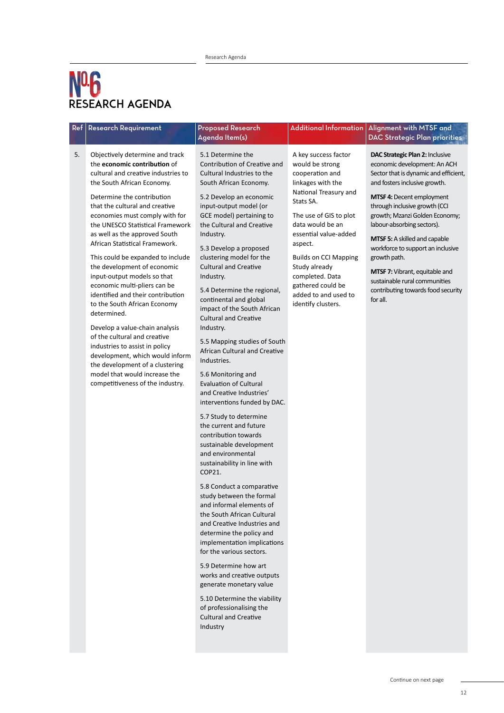| Ref | Research Requirement                                                                                                                                                                                                                                                                                                                                                                                                                                                                                                                                                                                                                                                                                                                                                                                                | <b>Proposed Research</b><br>Agenda Item(s)                                                                                                                                                                                                                                                                                                                                                                                                                                                                                                                                                                                                                                                                                                                                                                                                                                                                                                                                                                                                                                                                                                                                                                                                                                                     | <b>Additional Information</b>                                                                                                                                                                                                                                                                                                                  | Alignment with MTSF and<br><b>DAC Strategic Plan priorities</b>                                                                                                                                                                                                                                                                                                                                                                                                                                  |
|-----|---------------------------------------------------------------------------------------------------------------------------------------------------------------------------------------------------------------------------------------------------------------------------------------------------------------------------------------------------------------------------------------------------------------------------------------------------------------------------------------------------------------------------------------------------------------------------------------------------------------------------------------------------------------------------------------------------------------------------------------------------------------------------------------------------------------------|------------------------------------------------------------------------------------------------------------------------------------------------------------------------------------------------------------------------------------------------------------------------------------------------------------------------------------------------------------------------------------------------------------------------------------------------------------------------------------------------------------------------------------------------------------------------------------------------------------------------------------------------------------------------------------------------------------------------------------------------------------------------------------------------------------------------------------------------------------------------------------------------------------------------------------------------------------------------------------------------------------------------------------------------------------------------------------------------------------------------------------------------------------------------------------------------------------------------------------------------------------------------------------------------|------------------------------------------------------------------------------------------------------------------------------------------------------------------------------------------------------------------------------------------------------------------------------------------------------------------------------------------------|--------------------------------------------------------------------------------------------------------------------------------------------------------------------------------------------------------------------------------------------------------------------------------------------------------------------------------------------------------------------------------------------------------------------------------------------------------------------------------------------------|
| 5.  | Objectively determine and track<br>the economic contribution of<br>cultural and creative industries to<br>the South African Economy.<br>Determine the contribution<br>that the cultural and creative<br>economies must comply with for<br>the UNESCO Statistical Framework<br>as well as the approved South<br>African Statistical Framework.<br>This could be expanded to include<br>the development of economic<br>input-output models so that<br>economic multi-pliers can be<br>identified and their contribution<br>to the South African Economy<br>determined.<br>Develop a value-chain analysis<br>of the cultural and creative<br>industries to assist in policy<br>development, which would inform<br>the development of a clustering<br>model that would increase the<br>competitiveness of the industry. | 5.1 Determine the<br>Contribution of Creative and<br>Cultural Industries to the<br>South African Economy.<br>5.2 Develop an economic<br>input-output model (or<br>GCE model) pertaining to<br>the Cultural and Creative<br>Industry.<br>5.3 Develop a proposed<br>clustering model for the<br><b>Cultural and Creative</b><br>Industry.<br>5.4 Determine the regional,<br>continental and global<br>impact of the South African<br><b>Cultural and Creative</b><br>Industry.<br>5.5 Mapping studies of South<br><b>African Cultural and Creative</b><br>Industries.<br>5.6 Monitoring and<br><b>Evaluation of Cultural</b><br>and Creative Industries'<br>interventions funded by DAC.<br>5.7 Study to determine<br>the current and future<br>contribution towards<br>sustainable development<br>and environmental<br>sustainability in line with<br>COP21.<br>5.8 Conduct a comparative<br>study between the formal<br>and informal elements of<br>the South African Cultural<br>and Creative Industries and<br>determine the policy and<br>implementation implications<br>for the various sectors.<br>5.9 Determine how art<br>works and creative outputs<br>generate monetary value<br>5.10 Determine the viability<br>of professionalising the<br><b>Cultural and Creative</b><br>Industry | A key success factor<br>would be strong<br>cooperation and<br>linkages with the<br>National Treasury and<br>Stats SA.<br>The use of GIS to plot<br>data would be an<br>essential value-added<br>aspect.<br><b>Builds on CCI Mapping</b><br>Study already<br>completed. Data<br>gathered could be<br>added to and used to<br>identify clusters. | DAC Strategic Plan 2: Inclusive<br>economic development: An ACH<br>Sector that is dynamic and efficient,<br>and fosters inclusive growth.<br><b>MTSF 4: Decent employment</b><br>through inclusive growth (CCI<br>growth; Mzanzi Golden Economy;<br>labour-absorbing sectors).<br><b>MTSF 5:</b> A skilled and capable<br>workforce to support an inclusive<br>growth path.<br>MTSF 7: Vibrant, equitable and<br>sustainable rural communities<br>contributing towards food security<br>for all. |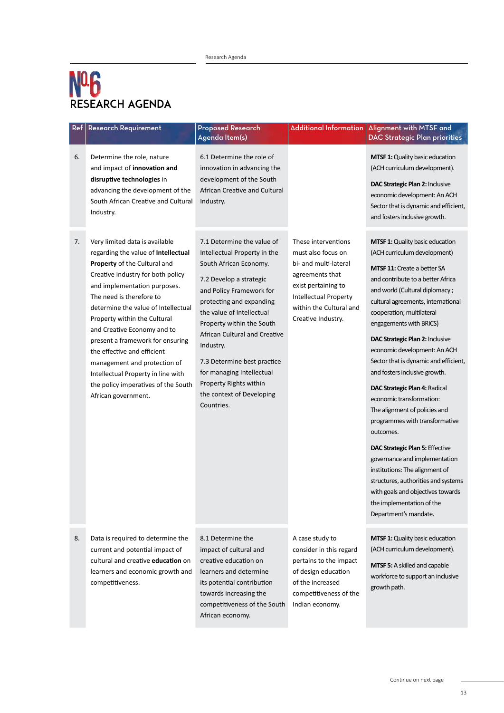| Ref I | <b>Research Requirement</b>                                                                                                                                                                                                                                                                                                                                                                                                                                                                                         | <b>Proposed Research</b><br>Agenda Item(s)                                                                                                                                                                                                                                                                                                                                                                       | <b>Additional Information</b>                                                                                                                                                          | Alignment with MTSF and<br><b>DAC Strategic Plan priorities</b>                                                                                                                                                                                                                                                                                                                                                                                                                                                                                                                                                                                                                                                                                                                                              |
|-------|---------------------------------------------------------------------------------------------------------------------------------------------------------------------------------------------------------------------------------------------------------------------------------------------------------------------------------------------------------------------------------------------------------------------------------------------------------------------------------------------------------------------|------------------------------------------------------------------------------------------------------------------------------------------------------------------------------------------------------------------------------------------------------------------------------------------------------------------------------------------------------------------------------------------------------------------|----------------------------------------------------------------------------------------------------------------------------------------------------------------------------------------|--------------------------------------------------------------------------------------------------------------------------------------------------------------------------------------------------------------------------------------------------------------------------------------------------------------------------------------------------------------------------------------------------------------------------------------------------------------------------------------------------------------------------------------------------------------------------------------------------------------------------------------------------------------------------------------------------------------------------------------------------------------------------------------------------------------|
| 6.    | Determine the role, nature<br>and impact of innovation and<br>disruptive technologies in<br>advancing the development of the<br>South African Creative and Cultural<br>Industry.                                                                                                                                                                                                                                                                                                                                    | 6.1 Determine the role of<br>innovation in advancing the<br>development of the South<br>African Creative and Cultural<br>Industry.                                                                                                                                                                                                                                                                               |                                                                                                                                                                                        | <b>MTSF 1: Quality basic education</b><br>(ACH curriculum development).<br>DAC Strategic Plan 2: Inclusive<br>economic development: An ACH<br>Sector that is dynamic and efficient,<br>and fosters inclusive growth.                                                                                                                                                                                                                                                                                                                                                                                                                                                                                                                                                                                         |
| 7.    | Very limited data is available<br>regarding the value of Intellectual<br>Property of the Cultural and<br>Creative Industry for both policy<br>and implementation purposes.<br>The need is therefore to<br>determine the value of Intellectual<br>Property within the Cultural<br>and Creative Economy and to<br>present a framework for ensuring<br>the effective and efficient<br>management and protection of<br>Intellectual Property in line with<br>the policy imperatives of the South<br>African government. | 7.1 Determine the value of<br>Intellectual Property in the<br>South African Economy.<br>7.2 Develop a strategic<br>and Policy Framework for<br>protecting and expanding<br>the value of Intellectual<br>Property within the South<br>African Cultural and Creative<br>Industry.<br>7.3 Determine best practice<br>for managing Intellectual<br>Property Rights within<br>the context of Developing<br>Countries. | These interventions<br>must also focus on<br>bi- and multi-lateral<br>agreements that<br>exist pertaining to<br>Intellectual Property<br>within the Cultural and<br>Creative Industry. | MTSF 1: Quality basic education<br>(ACH curriculum development)<br><b>MTSF 11: Create a better SA</b><br>and contribute to a better Africa<br>and world (Cultural diplomacy;<br>cultural agreements, international<br>cooperation; multilateral<br>engagements with BRICS)<br>DAC Strategic Plan 2: Inclusive<br>economic development: An ACH<br>Sector that is dynamic and efficient,<br>and fosters inclusive growth.<br>DAC Strategic Plan 4: Radical<br>economic transformation:<br>The alignment of policies and<br>programmes with transformative<br>outcomes.<br>DAC Strategic Plan 5: Effective<br>governance and implementation<br>institutions: The alignment of<br>structures, authorities and systems<br>with goals and objectives towards<br>the implementation of the<br>Department's mandate. |
| 8.    | Data is required to determine the<br>current and potential impact of<br>cultural and creative education on<br>learners and economic growth and<br>competitiveness.                                                                                                                                                                                                                                                                                                                                                  | 8.1 Determine the<br>impact of cultural and<br>creative education on<br>learners and determine<br>its potential contribution<br>towards increasing the<br>competitiveness of the South<br>African economy.                                                                                                                                                                                                       | A case study to<br>consider in this regard<br>pertains to the impact<br>of design education<br>of the increased<br>competitiveness of the<br>Indian economy.                           | <b>MTSF 1: Quality basic education</b><br>(ACH curriculum development).<br>MTSF 5: A skilled and capable<br>workforce to support an inclusive<br>growth path.                                                                                                                                                                                                                                                                                                                                                                                                                                                                                                                                                                                                                                                |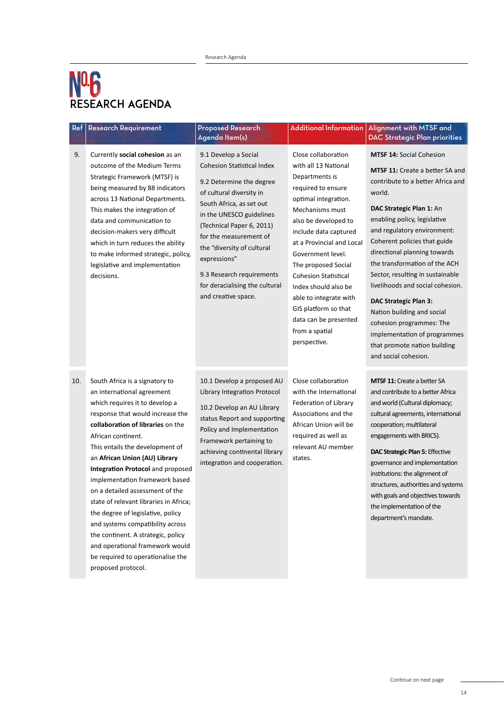### N<sup>0.6</sup> RESEARCH AGENDA

|     | Ref   Research Requirement                                                                                                                                                                                                                                                                                                                                                                                                                                                                                                                                                                                                         | <b>Proposed Research</b><br>Agenda Item(s)                                                                                                                                                                                                                                                                                                                           |                                                                                                                                                                                                                                                                                                                                                                                                                              | Additional Information   Alignment with MTSF and<br><b>DAC Strategic Plan priorities</b>                                                                                                                                                                                                                                                                                                                                                                                                                                                                                       |
|-----|------------------------------------------------------------------------------------------------------------------------------------------------------------------------------------------------------------------------------------------------------------------------------------------------------------------------------------------------------------------------------------------------------------------------------------------------------------------------------------------------------------------------------------------------------------------------------------------------------------------------------------|----------------------------------------------------------------------------------------------------------------------------------------------------------------------------------------------------------------------------------------------------------------------------------------------------------------------------------------------------------------------|------------------------------------------------------------------------------------------------------------------------------------------------------------------------------------------------------------------------------------------------------------------------------------------------------------------------------------------------------------------------------------------------------------------------------|--------------------------------------------------------------------------------------------------------------------------------------------------------------------------------------------------------------------------------------------------------------------------------------------------------------------------------------------------------------------------------------------------------------------------------------------------------------------------------------------------------------------------------------------------------------------------------|
| 9.  | Currently social cohesion as an<br>outcome of the Medium Terms<br>Strategic Framework (MTSF) is<br>being measured by 88 indicators<br>across 13 National Departments.<br>This makes the integration of<br>data and communication to<br>decision-makers very difficult<br>which in turn reduces the ability<br>to make informed strategic, policy,<br>legislative and implementation<br>decisions.                                                                                                                                                                                                                                  | 9.1 Develop a Social<br><b>Cohesion Statistical Index</b><br>9.2 Determine the degree<br>of cultural diversity in<br>South Africa, as set out<br>in the UNESCO guidelines<br>(Technical Paper 6, 2011)<br>for the measurement of<br>the "diversity of cultural<br>expressions"<br>9.3 Research requirements<br>for deracialising the cultural<br>and creative space. | Close collaboration<br>with all 13 National<br>Departments is<br>required to ensure<br>optimal integration.<br>Mechanisms must<br>also be developed to<br>include data captured<br>at a Provincial and Local<br>Government level.<br>The proposed Social<br><b>Cohesion Statistical</b><br>Index should also be<br>able to integrate with<br>GIS platform so that<br>data can be presented<br>from a spatial<br>perspective. | <b>MTSF 14: Social Cohesion</b><br><b>MTSF 11: Create a better SA and</b><br>contribute to a better Africa and<br>world.<br>DAC Strategic Plan 1: An<br>enabling policy, legislative<br>and regulatory environment:<br>Coherent policies that guide<br>directional planning towards<br>the transformation of the ACH<br>Sector, resulting in sustainable<br>livelihoods and social cohesion.<br><b>DAC Strategic Plan 3:</b><br>Nation building and social<br>cohesion programmes: The<br>implementation of programmes<br>that promote nation building<br>and social cohesion. |
| 10. | South Africa is a signatory to<br>an international agreement<br>which requires it to develop a<br>response that would increase the<br>collaboration of libraries on the<br>African continent.<br>This entails the development of<br>an African Union (AU) Library<br>Integration Protocol and proposed<br>implementation framework based<br>on a detailed assessment of the<br>state of relevant libraries in Africa;<br>the degree of legislative, policy<br>and systems compatibility across<br>the continent. A strategic, policy<br>and operational framework would<br>be required to operationalise the<br>proposed protocol. | 10.1 Develop a proposed AU<br>Library Integration Protocol<br>10.2 Develop an AU Library<br>status Report and supporting<br>Policy and Implementation<br>Framework pertaining to<br>achieving continental library<br>integration and cooperation.                                                                                                                    | Close collaboration<br>with the International<br>Federation of Library<br>Associations and the<br>African Union will be<br>required as well as<br>relevant AU member<br>states.                                                                                                                                                                                                                                              | <b>MTSF 11: Create a better SA</b><br>and contribute to a better Africa<br>and world (Cultural diplomacy;<br>cultural agreements, international<br>cooperation; multilateral<br>engagements with BRICS).<br>DAC Strategic Plan 5: Effective<br>governance and implementation<br>institutions: the alignment of<br>structures, authorities and systems<br>with goals and objectives towards<br>the implementation of the<br>department's mandate.                                                                                                                               |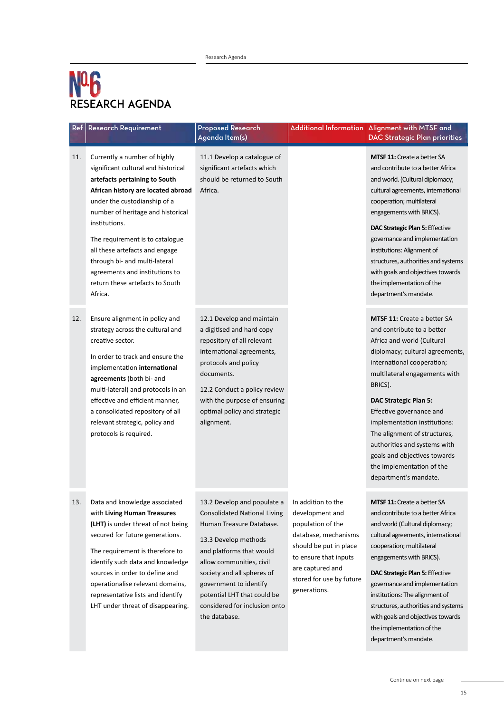| Ref | <b>Research Requirement</b>                                                                                                                                                                                                                                                                                                                                                                                            | <b>Proposed Research</b><br>Agenda Item(s)                                                                                                                                                                                                                                                                              | <b>Additional Information</b>                                                                                                                                                                         | Alignment with MTSF and<br><b>DAC Strategic Plan priorities</b>                                                                                                                                                                                                                                                                                                                                                                                               |                                                                                                                                                                                                                                                                                                                                                                                                                                               |
|-----|------------------------------------------------------------------------------------------------------------------------------------------------------------------------------------------------------------------------------------------------------------------------------------------------------------------------------------------------------------------------------------------------------------------------|-------------------------------------------------------------------------------------------------------------------------------------------------------------------------------------------------------------------------------------------------------------------------------------------------------------------------|-------------------------------------------------------------------------------------------------------------------------------------------------------------------------------------------------------|---------------------------------------------------------------------------------------------------------------------------------------------------------------------------------------------------------------------------------------------------------------------------------------------------------------------------------------------------------------------------------------------------------------------------------------------------------------|-----------------------------------------------------------------------------------------------------------------------------------------------------------------------------------------------------------------------------------------------------------------------------------------------------------------------------------------------------------------------------------------------------------------------------------------------|
| 11. | Currently a number of highly<br>significant cultural and historical<br>artefacts pertaining to South<br>African history are located abroad<br>under the custodianship of a<br>number of heritage and historical<br>institutions.<br>The requirement is to catalogue<br>all these artefacts and engage<br>through bi- and multi-lateral<br>agreements and institutions to<br>return these artefacts to South<br>Africa. | 11.1 Develop a catalogue of<br>significant artefacts which<br>should be returned to South<br>Africa.                                                                                                                                                                                                                    |                                                                                                                                                                                                       |                                                                                                                                                                                                                                                                                                                                                                                                                                                               | <b>MTSF 11:</b> Create a better SA<br>and contribute to a better Africa<br>and world. (Cultural diplomacy;<br>cultural agreements, international<br>cooperation; multilateral<br>engagements with BRICS).<br>DAC Strategic Plan 5: Effective<br>governance and implementation<br>institutions: Alignment of<br>structures, authorities and systems<br>with goals and objectives towards<br>the implementation of the<br>department's mandate. |
| 12. | Ensure alignment in policy and<br>strategy across the cultural and<br>creative sector.<br>In order to track and ensure the<br>implementation international<br>agreements (both bi- and<br>multi-lateral) and protocols in an<br>effective and efficient manner,<br>a consolidated repository of all<br>relevant strategic, policy and<br>protocols is required.                                                        | 12.1 Develop and maintain<br>a digitised and hard copy<br>repository of all relevant<br>international agreements,<br>protocols and policy<br>documents.<br>12.2 Conduct a policy review<br>with the purpose of ensuring<br>optimal policy and strategic<br>alignment.                                                   |                                                                                                                                                                                                       | <b>MTSF 11: Create a better SA</b><br>and contribute to a better<br>Africa and world (Cultural<br>diplomacy; cultural agreements,<br>international cooperation;<br>multilateral engagements with<br>BRICS).<br><b>DAC Strategic Plan 5:</b><br>Effective governance and<br>implementation institutions:<br>The alignment of structures,<br>authorities and systems with<br>goals and objectives towards<br>the implementation of the<br>department's mandate. |                                                                                                                                                                                                                                                                                                                                                                                                                                               |
| 13. | Data and knowledge associated<br>with Living Human Treasures<br>(LHT) is under threat of not being<br>secured for future generations.<br>The requirement is therefore to<br>identify such data and knowledge<br>sources in order to define and<br>operationalise relevant domains,<br>representative lists and identify<br>LHT under threat of disappearing.                                                           | 13.2 Develop and populate a<br><b>Consolidated National Living</b><br>Human Treasure Database.<br>13.3 Develop methods<br>and platforms that would<br>allow communities, civil<br>society and all spheres of<br>government to identify<br>potential LHT that could be<br>considered for inclusion onto<br>the database. | In addition to the<br>development and<br>population of the<br>database, mechanisms<br>should be put in place<br>to ensure that inputs<br>are captured and<br>stored for use by future<br>generations. | <b>MTSF 11:</b> Create a better SA<br>and contribute to a better Africa<br>and world (Cultural diplomacy;<br>cultural agreements, international<br>cooperation; multilateral<br>engagements with BRICS).<br>DAC Strategic Plan 5: Effective<br>governance and implementation<br>institutions: The alignment of<br>structures, authorities and systems<br>with goals and objectives towards<br>the implementation of the<br>department's mandate.              |                                                                                                                                                                                                                                                                                                                                                                                                                                               |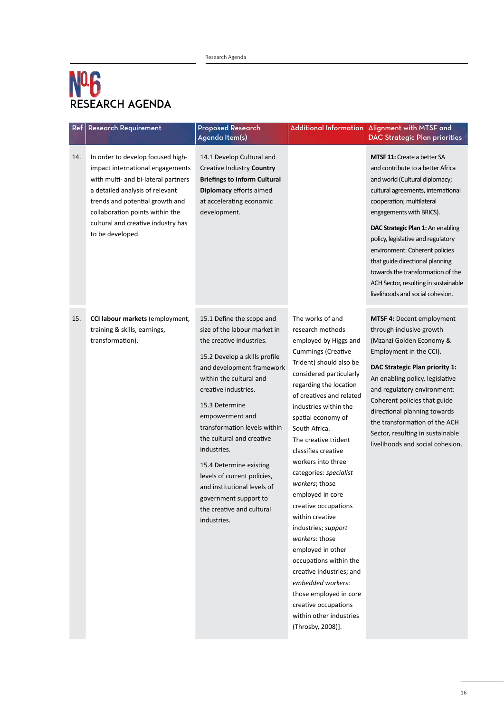| Ref | <b>Research Requirement</b>                                                                                                                                                                                                                                                     | <b>Proposed Research</b><br>Agenda Item(s)                                                                                                                                                                                                                                                                                                                                                                                                                                            | <b>Additional Information</b>                                                                                                                                                                                                                                                                                                                                                                                                                                                                                                                                                                                                                                                                     | Alignment with MTSF and<br><b>DAC Strategic Plan priorities</b>                                                                                                                                                                                                                                                                                                                                                                                                           |
|-----|---------------------------------------------------------------------------------------------------------------------------------------------------------------------------------------------------------------------------------------------------------------------------------|---------------------------------------------------------------------------------------------------------------------------------------------------------------------------------------------------------------------------------------------------------------------------------------------------------------------------------------------------------------------------------------------------------------------------------------------------------------------------------------|---------------------------------------------------------------------------------------------------------------------------------------------------------------------------------------------------------------------------------------------------------------------------------------------------------------------------------------------------------------------------------------------------------------------------------------------------------------------------------------------------------------------------------------------------------------------------------------------------------------------------------------------------------------------------------------------------|---------------------------------------------------------------------------------------------------------------------------------------------------------------------------------------------------------------------------------------------------------------------------------------------------------------------------------------------------------------------------------------------------------------------------------------------------------------------------|
| 14. | In order to develop focused high-<br>impact international engagements<br>with multi- and bi-lateral partners<br>a detailed analysis of relevant<br>trends and potential growth and<br>collaboration points within the<br>cultural and creative industry has<br>to be developed. | 14.1 Develop Cultural and<br>Creative Industry Country<br><b>Briefings to inform Cultural</b><br>Diplomacy efforts aimed<br>at accelerating economic<br>development.                                                                                                                                                                                                                                                                                                                  |                                                                                                                                                                                                                                                                                                                                                                                                                                                                                                                                                                                                                                                                                                   | <b>MTSF 11: Create a better SA</b><br>and contribute to a better Africa<br>and world (Cultural diplomacy;<br>cultural agreements, international<br>cooperation; multilateral<br>engagements with BRICS).<br>DAC Strategic Plan 1: An enabling<br>policy, legislative and regulatory<br>environment: Coherent policies<br>that guide directional planning<br>towards the transformation of the<br>ACH Sector, resulting in sustainable<br>livelihoods and social cohesion. |
| 15. | <b>CCI labour markets (employment,</b><br>training & skills, earnings,<br>transformation).                                                                                                                                                                                      | 15.1 Define the scope and<br>size of the labour market in<br>the creative industries.<br>15.2 Develop a skills profile<br>and development framework<br>within the cultural and<br>creative industries.<br>15.3 Determine<br>empowerment and<br>transformation levels within<br>the cultural and creative<br>industries.<br>15.4 Determine existing<br>levels of current policies,<br>and institutional levels of<br>government support to<br>the creative and cultural<br>industries. | The works of and<br>research methods<br>employed by Higgs and<br><b>Cummings (Creative</b><br>Trident) should also be<br>considered particularly<br>regarding the location<br>of creatives and related<br>industries within the<br>spatial economy of<br>South Africa.<br>The creative trident<br>classifies creative<br>workers into three<br>categories: specialist<br>workers; those<br>employed in core<br>creative occupations<br>within creative<br>industries; support<br>workers: those<br>employed in other<br>occupations within the<br>creative industries; and<br>embedded workers:<br>those employed in core<br>creative occupations<br>within other industries<br>(Throsby, 2008)]. | MTSF 4: Decent employment<br>through inclusive growth<br>(Mzanzi Golden Economy &<br>Employment in the CCI).<br><b>DAC Strategic Plan priority 1:</b><br>An enabling policy, legislative<br>and regulatory environment:<br>Coherent policies that guide<br>directional planning towards<br>the transformation of the ACH<br>Sector, resulting in sustainable<br>livelihoods and social cohesion.                                                                          |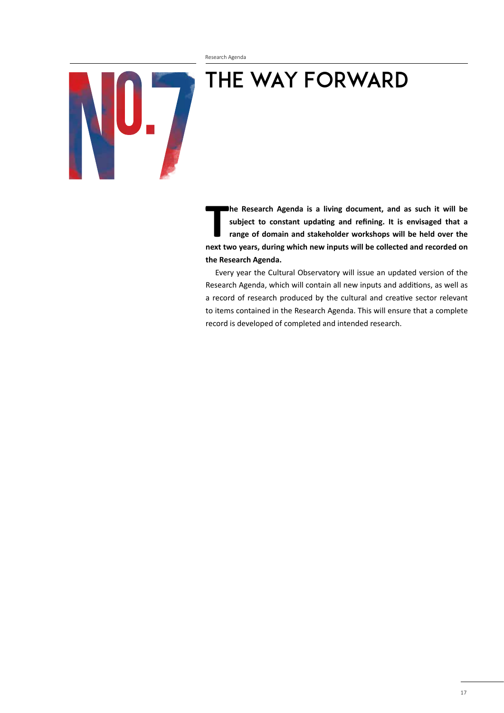## THE WAY FORWARD

U.

**The Research Agenda is a living document, and as such it will be subject to constant updating and refining. It is envisaged that a range of domain and stakeholder workshops will be held over the next two years, during whi he Research Agenda is a living document, and as such it will be subject to constant updating and refining. It is envisaged that a range of domain and stakeholder workshops will be held over the the Research Agenda.** 

Every year the Cultural Observatory will issue an updated version of the Research Agenda, which will contain all new inputs and additions, as well as a record of research produced by the cultural and creative sector relevant to items contained in the Research Agenda. This will ensure that a complete record is developed of completed and intended research.